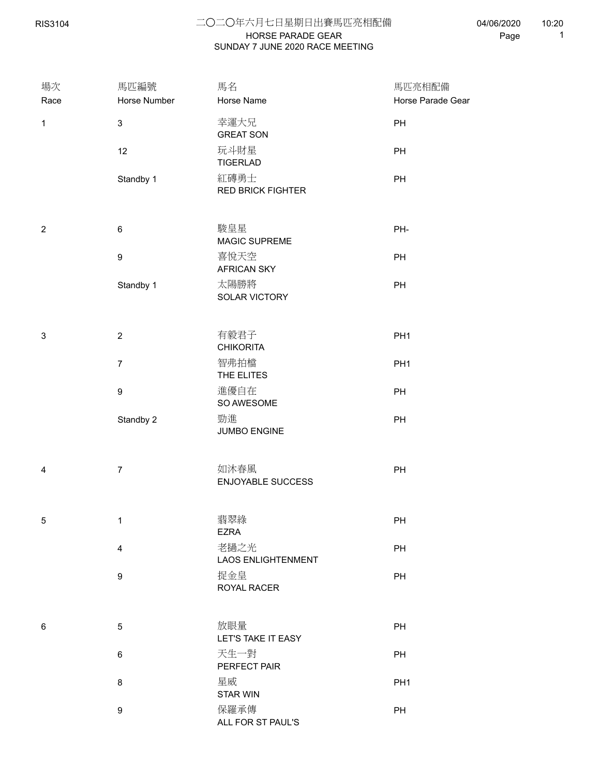RIS3104

## HORSE PARADE GEAR 二○二○年六月七日星期日出賽馬匹亮相配備 SUNDAY 7 JUNE 2020 RACE MEETING

04/06/2020 Page 1 10:20

| 場次<br>Race              | 馬匹編號<br>Horse Number | 馬名<br>Horse Name                  | 馬匹亮相配備<br>Horse Parade Gear |  |
|-------------------------|----------------------|-----------------------------------|-----------------------------|--|
| $\mathbf{1}$            | $\mathbf{3}$         | 幸運大兄<br><b>GREAT SON</b>          | PH                          |  |
|                         | 12                   | 玩斗財星<br><b>TIGERLAD</b>           | PH                          |  |
|                         | Standby 1            | 紅磚勇士<br><b>RED BRICK FIGHTER</b>  | PH                          |  |
| $\overline{\mathbf{c}}$ | $\,6\,$              | 駿皇星<br>MAGIC SUPREME              | PH-                         |  |
|                         | $\boldsymbol{9}$     | 喜悅天空<br><b>AFRICAN SKY</b>        | PH                          |  |
|                         | Standby 1            | 太陽勝將<br>SOLAR VICTORY             | PH                          |  |
| 3                       | $\sqrt{2}$           | 有毅君子<br><b>CHIKORITA</b>          | PH <sub>1</sub>             |  |
|                         | $\boldsymbol{7}$     | 智弗拍檔<br>THE ELITES                | PH <sub>1</sub>             |  |
|                         | $\boldsymbol{9}$     | 進優自在<br>SO AWESOME                | PH                          |  |
|                         | Standby 2            | 勁進<br>JUMBO ENGINE                | PH                          |  |
| 4                       | $\overline{7}$       | 如沐春風<br><b>ENJOYABLE SUCCESS</b>  | PH                          |  |
| 5                       | $\mathbf{1}$         | 翡翠綠<br><b>EZRA</b>                | PH                          |  |
|                         | 4                    | 老撾之光<br><b>LAOS ENLIGHTENMENT</b> | PH                          |  |
|                         | $\boldsymbol{9}$     | 捉金皇<br>ROYAL RACER                | PH                          |  |
| 6                       | $\sqrt{5}$           | 放眼量<br>LET'S TAKE IT EASY         | PH                          |  |
|                         | 6                    | 天生一對<br>PERFECT PAIR              | PH                          |  |
|                         | 8                    | 星威<br>STAR WIN                    | PH <sub>1</sub>             |  |
|                         | $\boldsymbol{9}$     | 保羅承傳<br>ALL FOR ST PAUL'S         | PH                          |  |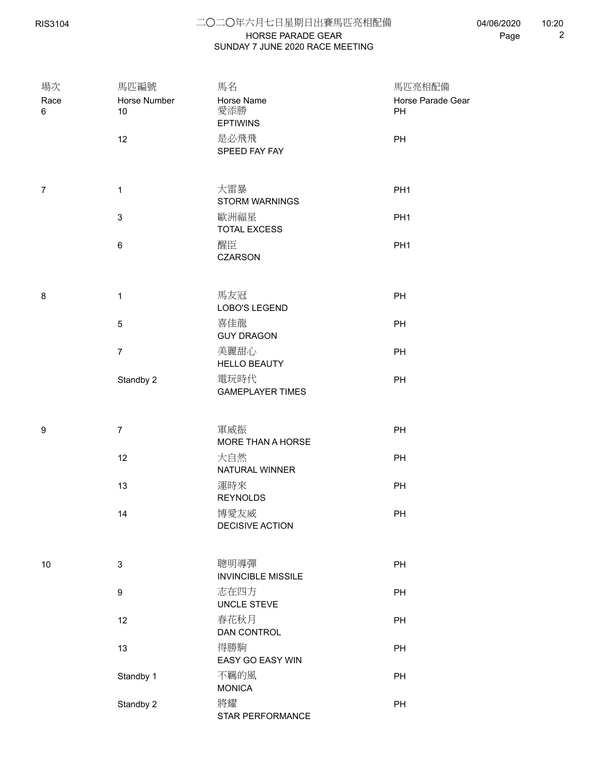RIS3104

## HORSE PARADE GEAR 二○二○年六月七日星期日出賽馬匹亮相配備 SUNDAY 7 JUNE 2020 RACE MEETING

| 場次             | 馬匹編號               | 馬名                                   | 馬匹亮相配備                  |  |
|----------------|--------------------|--------------------------------------|-------------------------|--|
| Race<br>6      | Horse Number<br>10 | Horse Name<br>愛添勝<br><b>EPTIWINS</b> | Horse Parade Gear<br>PH |  |
|                | 12                 | 是必飛飛<br>SPEED FAY FAY                | PH                      |  |
| $\overline{7}$ | $\mathbf{1}$       | 大雷暴<br><b>STORM WARNINGS</b>         | PH <sub>1</sub>         |  |
|                | $\mathbf{3}$       | 歐洲福星<br><b>TOTAL EXCESS</b>          | PH <sub>1</sub>         |  |
|                | $\,6\,$            | 醒臣<br><b>CZARSON</b>                 | PH <sub>1</sub>         |  |
| 8              | $\mathbf{1}$       | 馬友冠<br>LOBO'S LEGEND                 | PH                      |  |
|                | $\sqrt{5}$         | 喜佳龍<br><b>GUY DRAGON</b>             | PH                      |  |
|                | $\overline{7}$     | 美麗甜心<br><b>HELLO BEAUTY</b>          | PH                      |  |
|                | Standby 2          | 電玩時代<br><b>GAMEPLAYER TIMES</b>      | PH                      |  |
| 9              | $\overline{7}$     | 軍威振<br>MORE THAN A HORSE             | PH                      |  |
|                | 12                 | 大自然<br>NATURAL WINNER                | PH                      |  |
|                | 13                 | 運時來<br><b>REYNOLDS</b>               | PH                      |  |
|                | 14                 | 博愛友威<br>DECISIVE ACTION              | PH                      |  |
| 10             | $\mathsf 3$        | 聰明導彈<br><b>INVINCIBLE MISSILE</b>    | PH                      |  |
|                | $\boldsymbol{9}$   | 志在四方<br>UNCLE STEVE                  | PH                      |  |
|                | 12                 | 春花秋月<br>DAN CONTROL                  | PH                      |  |
|                | 13                 | 得勝駒<br>EASY GO EASY WIN              | PH                      |  |
|                | Standby 1          | 不羈的風<br><b>MONICA</b>                | PH                      |  |
|                | Standby 2          | 將耀<br>STAR PERFORMANCE               | PH                      |  |